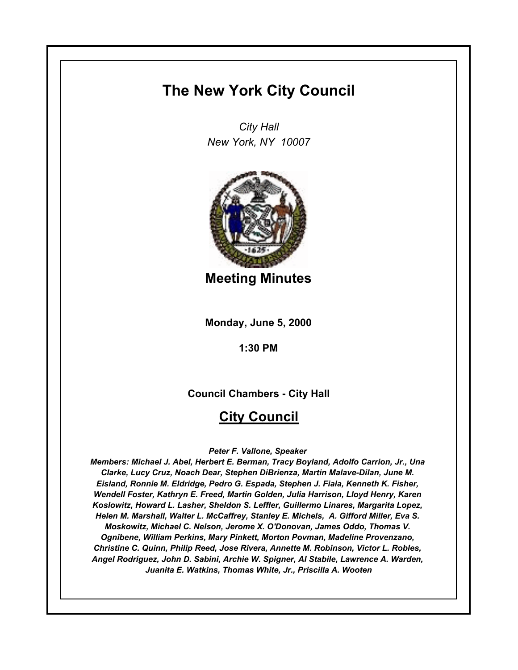# **The New York City Council**

*City Hall New York, NY 10007*



**Meeting Minutes**

**Monday, June 5, 2000**

**1:30 PM**

**Council Chambers - City Hall**

# **City Council**

*Peter F. Vallone, Speaker* 

*Members: Michael J. Abel, Herbert E. Berman, Tracy Boyland, Adolfo Carrion, Jr., Una Clarke, Lucy Cruz, Noach Dear, Stephen DiBrienza, Martin Malave-Dilan, June M. Eisland, Ronnie M. Eldridge, Pedro G. Espada, Stephen J. Fiala, Kenneth K. Fisher, Wendell Foster, Kathryn E. Freed, Martin Golden, Julia Harrison, Lloyd Henry, Karen Koslowitz, Howard L. Lasher, Sheldon S. Leffler, Guillermo Linares, Margarita Lopez, Helen M. Marshall, Walter L. McCaffrey, Stanley E. Michels, A. Gifford Miller, Eva S. Moskowitz, Michael C. Nelson, Jerome X. O'Donovan, James Oddo, Thomas V. Ognibene, William Perkins, Mary Pinkett, Morton Povman, Madeline Provenzano, Christine C. Quinn, Philip Reed, Jose Rivera, Annette M. Robinson, Victor L. Robles, Angel Rodriguez, John D. Sabini, Archie W. Spigner, Al Stabile, Lawrence A. Warden, Juanita E. Watkins, Thomas White, Jr., Priscilla A. Wooten*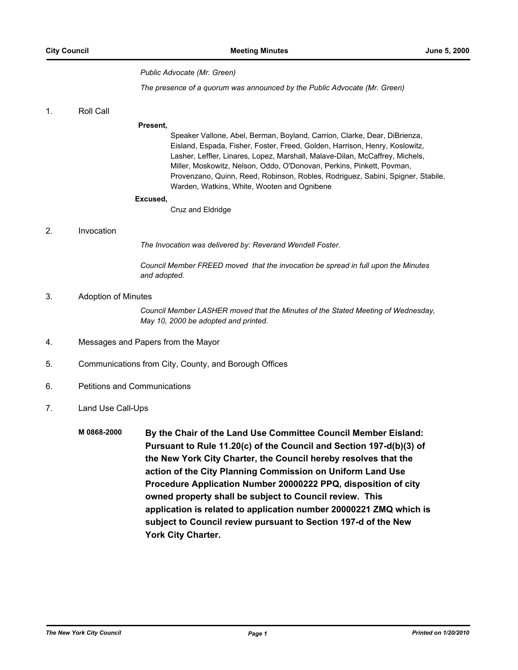#### *Public Advocate (Mr. Green)*

*The presence of a quorum was announced by the Public Advocate (Mr. Green)*

# 1. Roll Call

#### **Present,**

Speaker Vallone, Abel, Berman, Boyland, Carrion, Clarke, Dear, DiBrienza, Eisland, Espada, Fisher, Foster, Freed, Golden, Harrison, Henry, Koslowitz, Lasher, Leffler, Linares, Lopez, Marshall, Malave-Dilan, McCaffrey, Michels, Miller, Moskowitz, Nelson, Oddo, O'Donovan, Perkins, Pinkett, Povman, Provenzano, Quinn, Reed, Robinson, Robles, Rodriguez, Sabini, Spigner, Stabile, Warden, Watkins, White, Wooten and Ognibene

#### **Excused,**

Cruz and Eldridge

#### 2. Invocation

*The Invocation was delivered by: Reverand Wendell Foster.*

*Council Member FREED moved that the invocation be spread in full upon the Minutes and adopted.*

## 3. Adoption of Minutes

*Council Member LASHER moved that the Minutes of the Stated Meeting of Wednesday, May 10, 2000 be adopted and printed.*

- 4. Messages and Papers from the Mayor
- 5. Communications from City, County, and Borough Offices
- 6. Petitions and Communications
- 7. Land Use Call-Ups
	- **M 0868-2000 By the Chair of the Land Use Committee Council Member Eisland: Pursuant to Rule 11.20(c) of the Council and Section 197-d(b)(3) of the New York City Charter, the Council hereby resolves that the action of the City Planning Commission on Uniform Land Use Procedure Application Number 20000222 PPQ, disposition of city owned property shall be subject to Council review. This application is related to application number 20000221 ZMQ which is subject to Council review pursuant to Section 197-d of the New York City Charter.**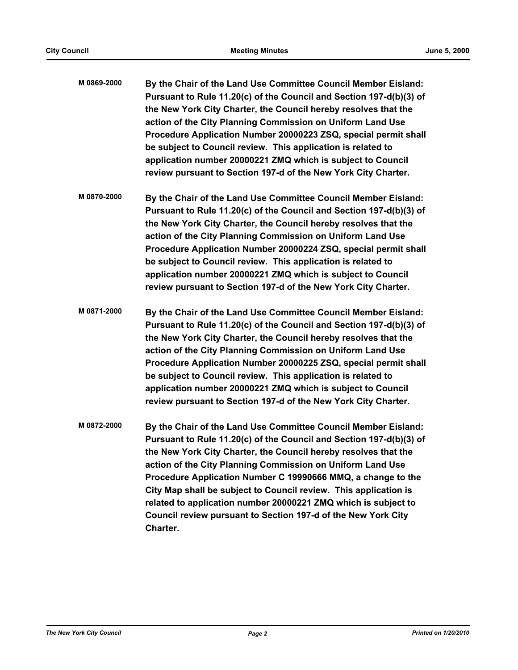| M0869-2000 | By the Chair of the Land Use Committee Council Member Eisland:      |
|------------|---------------------------------------------------------------------|
|            | Pursuant to Rule 11.20(c) of the Council and Section 197-d(b)(3) of |
|            | the New York City Charter, the Council hereby resolves that the     |
|            | action of the City Planning Commission on Uniform Land Use          |
|            | Procedure Application Number 20000223 ZSQ, special permit shall     |
|            | be subject to Council review. This application is related to        |
|            | application number 20000221 ZMQ which is subject to Council         |
|            | review pursuant to Section 197-d of the New York City Charter.      |

- **M 0870-2000 By the Chair of the Land Use Committee Council Member Eisland: Pursuant to Rule 11.20(c) of the Council and Section 197-d(b)(3) of the New York City Charter, the Council hereby resolves that the action of the City Planning Commission on Uniform Land Use Procedure Application Number 20000224 ZSQ, special permit shall be subject to Council review. This application is related to application number 20000221 ZMQ which is subject to Council review pursuant to Section 197-d of the New York City Charter.**
- **M 0871-2000 By the Chair of the Land Use Committee Council Member Eisland: Pursuant to Rule 11.20(c) of the Council and Section 197-d(b)(3) of the New York City Charter, the Council hereby resolves that the action of the City Planning Commission on Uniform Land Use Procedure Application Number 20000225 ZSQ, special permit shall be subject to Council review. This application is related to application number 20000221 ZMQ which is subject to Council review pursuant to Section 197-d of the New York City Charter.**
- **M 0872-2000 By the Chair of the Land Use Committee Council Member Eisland: Pursuant to Rule 11.20(c) of the Council and Section 197-d(b)(3) of the New York City Charter, the Council hereby resolves that the action of the City Planning Commission on Uniform Land Use Procedure Application Number C 19990666 MMQ, a change to the City Map shall be subject to Council review. This application is related to application number 20000221 ZMQ which is subject to Council review pursuant to Section 197-d of the New York City Charter.**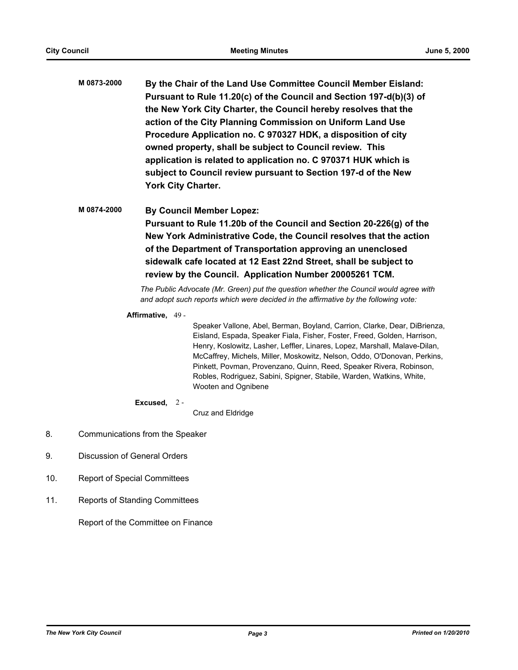**M 0873-2000 By the Chair of the Land Use Committee Council Member Eisland: Pursuant to Rule 11.20(c) of the Council and Section 197-d(b)(3) of the New York City Charter, the Council hereby resolves that the action of the City Planning Commission on Uniform Land Use Procedure Application no. C 970327 HDK, a disposition of city owned property, shall be subject to Council review. This application is related to application no. C 970371 HUK which is subject to Council review pursuant to Section 197-d of the New York City Charter.**

# **M 0874-2000 By Council Member Lopez: Pursuant to Rule 11.20b of the Council and Section 20-226(g) of the New York Administrative Code, the Council resolves that the action of the Department of Transportation approving an unenclosed sidewalk cafe located at 12 East 22nd Street, shall be subject to review by the Council. Application Number 20005261 TCM.**

*The Public Advocate (Mr. Green) put the question whether the Council would agree with and adopt such reports which were decided in the affirmative by the following vote:*

## **Affirmative,** 49 -

Speaker Vallone, Abel, Berman, Boyland, Carrion, Clarke, Dear, DiBrienza, Eisland, Espada, Speaker Fiala, Fisher, Foster, Freed, Golden, Harrison, Henry, Koslowitz, Lasher, Leffler, Linares, Lopez, Marshall, Malave-Dilan, McCaffrey, Michels, Miller, Moskowitz, Nelson, Oddo, O'Donovan, Perkins, Pinkett, Povman, Provenzano, Quinn, Reed, Speaker Rivera, Robinson, Robles, Rodriguez, Sabini, Spigner, Stabile, Warden, Watkins, White, Wooten and Ognibene

# **Excused,** 2 -

Cruz and Eldridge

- 8. Communications from the Speaker
- 9. Discussion of General Orders
- 10. Report of Special Committees
- 11. Reports of Standing Committees

Report of the Committee on Finance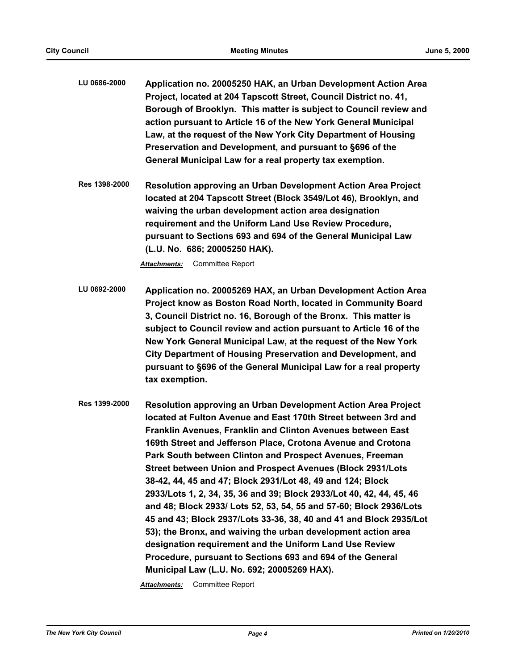- **LU 0686-2000 Application no. 20005250 HAK, an Urban Development Action Area Project, located at 204 Tapscott Street, Council District no. 41, Borough of Brooklyn. This matter is subject to Council review and action pursuant to Article 16 of the New York General Municipal Law, at the request of the New York City Department of Housing Preservation and Development, and pursuant to §696 of the General Municipal Law for a real property tax exemption.**
- **Res 1398-2000 Resolution approving an Urban Development Action Area Project located at 204 Tapscott Street (Block 3549/Lot 46), Brooklyn, and waiving the urban development action area designation requirement and the Uniform Land Use Review Procedure, pursuant to Sections 693 and 694 of the General Municipal Law (L.U. No. 686; 20005250 HAK).**

- **LU 0692-2000 Application no. 20005269 HAX, an Urban Development Action Area Project know as Boston Road North, located in Community Board 3, Council District no. 16, Borough of the Bronx. This matter is subject to Council review and action pursuant to Article 16 of the New York General Municipal Law, at the request of the New York City Department of Housing Preservation and Development, and pursuant to §696 of the General Municipal Law for a real property tax exemption.**
- **Res 1399-2000 Resolution approving an Urban Development Action Area Project located at Fulton Avenue and East 170th Street between 3rd and Franklin Avenues, Franklin and Clinton Avenues between East 169th Street and Jefferson Place, Crotona Avenue and Crotona Park South between Clinton and Prospect Avenues, Freeman Street between Union and Prospect Avenues (Block 2931/Lots 38-42, 44, 45 and 47; Block 2931/Lot 48, 49 and 124; Block 2933/Lots 1, 2, 34, 35, 36 and 39; Block 2933/Lot 40, 42, 44, 45, 46 and 48; Block 2933/ Lots 52, 53, 54, 55 and 57-60; Block 2936/Lots 45 and 43; Block 2937/Lots 33-36, 38, 40 and 41 and Block 2935/Lot 53); the Bronx, and waiving the urban development action area designation requirement and the Uniform Land Use Review Procedure, pursuant to Sections 693 and 694 of the General Municipal Law (L.U. No. 692; 20005269 HAX).**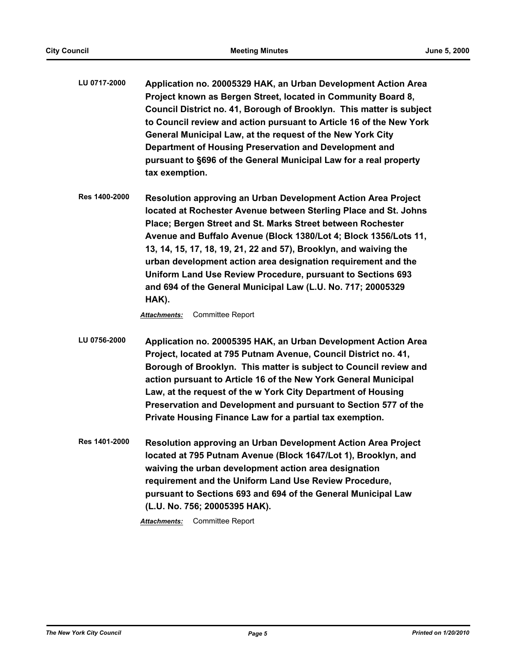- **LU 0717-2000 Application no. 20005329 HAK, an Urban Development Action Area Project known as Bergen Street, located in Community Board 8, Council District no. 41, Borough of Brooklyn. This matter is subject to Council review and action pursuant to Article 16 of the New York General Municipal Law, at the request of the New York City Department of Housing Preservation and Development and pursuant to §696 of the General Municipal Law for a real property tax exemption.**
- **Res 1400-2000 Resolution approving an Urban Development Action Area Project located at Rochester Avenue between Sterling Place and St. Johns Place; Bergen Street and St. Marks Street between Rochester Avenue and Buffalo Avenue (Block 1380/Lot 4; Block 1356/Lots 11, 13, 14, 15, 17, 18, 19, 21, 22 and 57), Brooklyn, and waiving the urban development action area designation requirement and the Uniform Land Use Review Procedure, pursuant to Sections 693 and 694 of the General Municipal Law (L.U. No. 717; 20005329 HAK).**

- **LU 0756-2000 Application no. 20005395 HAK, an Urban Development Action Area Project, located at 795 Putnam Avenue, Council District no. 41, Borough of Brooklyn. This matter is subject to Council review and action pursuant to Article 16 of the New York General Municipal Law, at the request of the w York City Department of Housing Preservation and Development and pursuant to Section 577 of the Private Housing Finance Law for a partial tax exemption.**
- **Res 1401-2000 Resolution approving an Urban Development Action Area Project located at 795 Putnam Avenue (Block 1647/Lot 1), Brooklyn, and waiving the urban development action area designation requirement and the Uniform Land Use Review Procedure, pursuant to Sections 693 and 694 of the General Municipal Law (L.U. No. 756; 20005395 HAK).**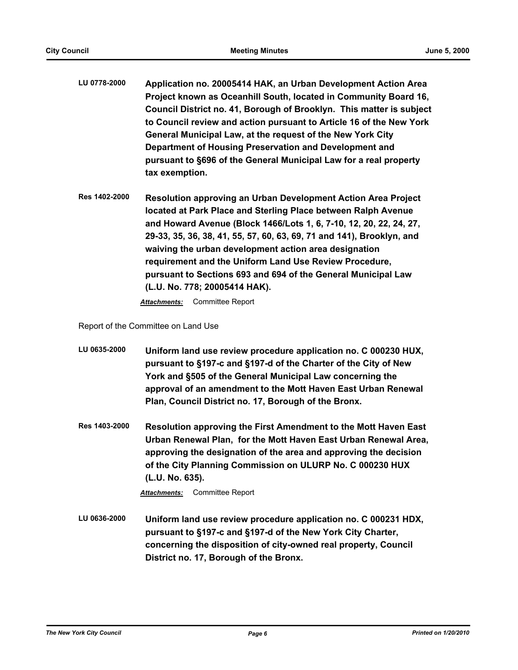- **LU 0778-2000 Application no. 20005414 HAK, an Urban Development Action Area Project known as Oceanhill South, located in Community Board 16, Council District no. 41, Borough of Brooklyn. This matter is subject to Council review and action pursuant to Article 16 of the New York General Municipal Law, at the request of the New York City Department of Housing Preservation and Development and pursuant to §696 of the General Municipal Law for a real property tax exemption.**
- **Res 1402-2000 Resolution approving an Urban Development Action Area Project located at Park Place and Sterling Place between Ralph Avenue and Howard Avenue (Block 1466/Lots 1, 6, 7-10, 12, 20, 22, 24, 27, 29-33, 35, 36, 38, 41, 55, 57, 60, 63, 69, 71 and 141), Brooklyn, and waiving the urban development action area designation requirement and the Uniform Land Use Review Procedure, pursuant to Sections 693 and 694 of the General Municipal Law (L.U. No. 778; 20005414 HAK).**

Report of the Committee on Land Use

| LU 0635-2000  | Uniform land use review procedure application no. C 000230 HUX,<br>pursuant to §197-c and §197-d of the Charter of the City of New<br>York and §505 of the General Municipal Law concerning the<br>approval of an amendment to the Mott Haven East Urban Renewal<br>Plan, Council District no. 17, Borough of the Bronx. |
|---------------|--------------------------------------------------------------------------------------------------------------------------------------------------------------------------------------------------------------------------------------------------------------------------------------------------------------------------|
| Res 1403-2000 | Resolution approving the First Amendment to the Mott Haven East<br>Urban Renewal Plan, for the Mott Haven East Urban Renewal Area,<br>approving the designation of the area and approving the decision<br>of the City Planning Commission on ULURP No. C 000230 HUX<br>(L.U. No. 635).                                   |
|               | Committee Report<br><b>Attachments:</b>                                                                                                                                                                                                                                                                                  |
| LU 0636-2000  | Uniform land use review procedure application no. C 000231 HDX,<br>pursuant to §197-c and §197-d of the New York City Charter,<br>concerning the disposition of city-owned real property, Council                                                                                                                        |

**District no. 17, Borough of the Bronx.**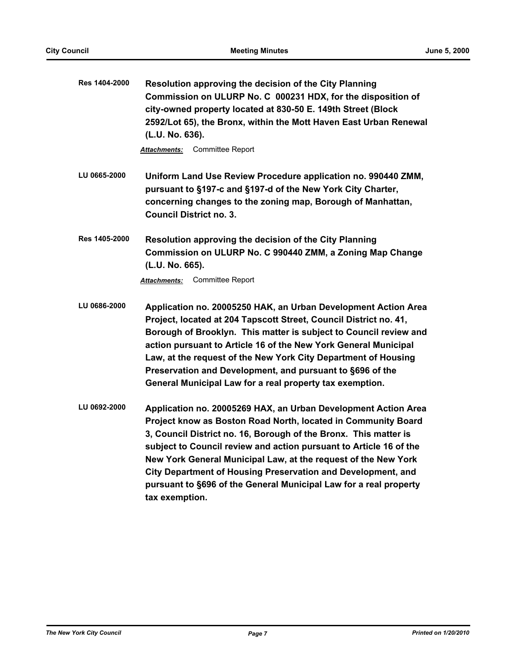| Res 1404-2000 | Resolution approving the decision of the City Planning<br>Commission on ULURP No. C 000231 HDX, for the disposition of<br>city-owned property located at 830-50 E. 149th Street (Block<br>2592/Lot 65), the Bronx, within the Mott Haven East Urban Renewal<br>(L.U. No. 636).                                                                                                                                                                                                                     |  |
|---------------|----------------------------------------------------------------------------------------------------------------------------------------------------------------------------------------------------------------------------------------------------------------------------------------------------------------------------------------------------------------------------------------------------------------------------------------------------------------------------------------------------|--|
|               | Committee Report<br>Attachments:                                                                                                                                                                                                                                                                                                                                                                                                                                                                   |  |
| LU 0665-2000  | Uniform Land Use Review Procedure application no. 990440 ZMM,<br>pursuant to §197-c and §197-d of the New York City Charter,<br>concerning changes to the zoning map, Borough of Manhattan,<br><b>Council District no. 3.</b>                                                                                                                                                                                                                                                                      |  |
| Res 1405-2000 | Resolution approving the decision of the City Planning<br>Commission on ULURP No. C 990440 ZMM, a Zoning Map Change<br>(L.U. No. 665).                                                                                                                                                                                                                                                                                                                                                             |  |
|               | <b>Committee Report</b><br><u> Attachments:</u>                                                                                                                                                                                                                                                                                                                                                                                                                                                    |  |
| LU 0686-2000  | Application no. 20005250 HAK, an Urban Development Action Area<br>Project, located at 204 Tapscott Street, Council District no. 41,<br>Borough of Brooklyn. This matter is subject to Council review and<br>action pursuant to Article 16 of the New York General Municipal<br>Law, at the request of the New York City Department of Housing<br>Preservation and Development, and pursuant to §696 of the<br>General Municipal Law for a real property tax exemption.                             |  |
| LU 0692-2000  | Application no. 20005269 HAX, an Urban Development Action Area<br>Project know as Boston Road North, located in Community Board<br>3, Council District no. 16, Borough of the Bronx. This matter is<br>subject to Council review and action pursuant to Article 16 of the<br>New York General Municipal Law, at the request of the New York<br>City Department of Housing Preservation and Development, and<br>pursuant to §696 of the General Municipal Law for a real property<br>tax exemption. |  |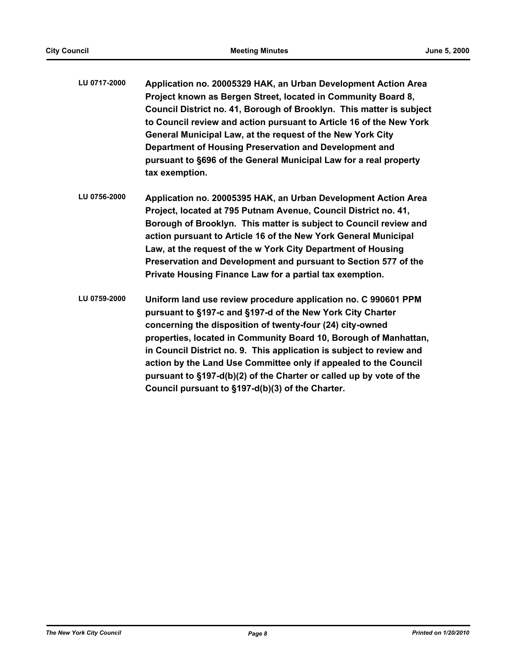| LU 0717-2000 | Application no. 20005329 HAK, an Urban Development Action Area       |
|--------------|----------------------------------------------------------------------|
|              | Project known as Bergen Street, located in Community Board 8,        |
|              | Council District no. 41, Borough of Brooklyn. This matter is subject |
|              | to Council review and action pursuant to Article 16 of the New York  |
|              | General Municipal Law, at the request of the New York City           |
|              | Department of Housing Preservation and Development and               |
|              | pursuant to §696 of the General Municipal Law for a real property    |
|              | tax exemption.                                                       |

- **LU 0756-2000 Application no. 20005395 HAK, an Urban Development Action Area Project, located at 795 Putnam Avenue, Council District no. 41, Borough of Brooklyn. This matter is subject to Council review and action pursuant to Article 16 of the New York General Municipal Law, at the request of the w York City Department of Housing Preservation and Development and pursuant to Section 577 of the Private Housing Finance Law for a partial tax exemption.**
- **LU 0759-2000 Uniform land use review procedure application no. C 990601 PPM pursuant to §197-c and §197-d of the New York City Charter concerning the disposition of twenty-four (24) city-owned properties, located in Community Board 10, Borough of Manhattan, in Council District no. 9. This application is subject to review and action by the Land Use Committee only if appealed to the Council pursuant to §197-d(b)(2) of the Charter or called up by vote of the Council pursuant to §197-d(b)(3) of the Charter.**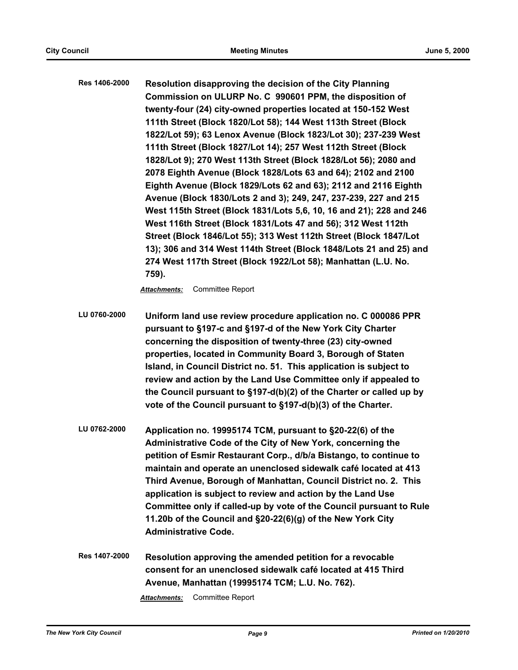**Res 1406-2000 Resolution disapproving the decision of the City Planning Commission on ULURP No. C 990601 PPM, the disposition of twenty-four (24) city-owned properties located at 150-152 West 111th Street (Block 1820/Lot 58); 144 West 113th Street (Block 1822/Lot 59); 63 Lenox Avenue (Block 1823/Lot 30); 237-239 West 111th Street (Block 1827/Lot 14); 257 West 112th Street (Block 1828/Lot 9); 270 West 113th Street (Block 1828/Lot 56); 2080 and 2078 Eighth Avenue (Block 1828/Lots 63 and 64); 2102 and 2100 Eighth Avenue (Block 1829/Lots 62 and 63); 2112 and 2116 Eighth Avenue (Block 1830/Lots 2 and 3); 249, 247, 237-239, 227 and 215 West 115th Street (Block 1831/Lots 5,6, 10, 16 and 21); 228 and 246 West 116th Street (Block 1831/Lots 47 and 56); 312 West 112th Street (Block 1846/Lot 55); 313 West 112th Street (Block 1847/Lot 13); 306 and 314 West 114th Street (Block 1848/Lots 21 and 25) and 274 West 117th Street (Block 1922/Lot 58); Manhattan (L.U. No. 759).**

*Attachments:* Committee Report

- **LU 0760-2000 Uniform land use review procedure application no. C 000086 PPR pursuant to §197-c and §197-d of the New York City Charter concerning the disposition of twenty-three (23) city-owned properties, located in Community Board 3, Borough of Staten Island, in Council District no. 51. This application is subject to review and action by the Land Use Committee only if appealed to the Council pursuant to §197-d(b)(2) of the Charter or called up by vote of the Council pursuant to §197-d(b)(3) of the Charter.**
- **LU 0762-2000 Application no. 19995174 TCM, pursuant to §20-22(6) of the Administrative Code of the City of New York, concerning the petition of Esmir Restaurant Corp., d/b/a Bistango, to continue to maintain and operate an unenclosed sidewalk café located at 413 Third Avenue, Borough of Manhattan, Council District no. 2. This application is subject to review and action by the Land Use Committee only if called-up by vote of the Council pursuant to Rule 11.20b of the Council and §20-22(6)(g) of the New York City Administrative Code.**
- **Res 1407-2000 Resolution approving the amended petition for a revocable consent for an unenclosed sidewalk café located at 415 Third Avenue, Manhattan (19995174 TCM; L.U. No. 762).**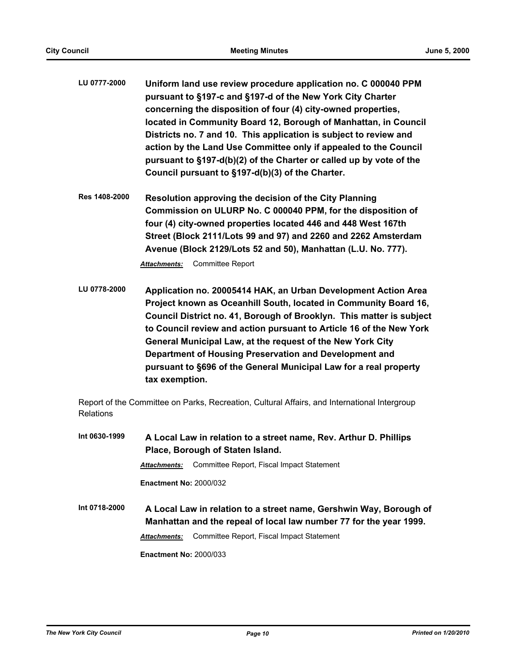- **LU 0777-2000 Uniform land use review procedure application no. C 000040 PPM pursuant to §197-c and §197-d of the New York City Charter concerning the disposition of four (4) city-owned properties, located in Community Board 12, Borough of Manhattan, in Council Districts no. 7 and 10. This application is subject to review and action by the Land Use Committee only if appealed to the Council pursuant to §197-d(b)(2) of the Charter or called up by vote of the Council pursuant to §197-d(b)(3) of the Charter.**
- **Res 1408-2000 Resolution approving the decision of the City Planning Commission on ULURP No. C 000040 PPM, for the disposition of four (4) city-owned properties located 446 and 448 West 167th Street (Block 2111/Lots 99 and 97) and 2260 and 2262 Amsterdam Avenue (Block 2129/Lots 52 and 50), Manhattan (L.U. No. 777).**

**LU 0778-2000 Application no. 20005414 HAK, an Urban Development Action Area Project known as Oceanhill South, located in Community Board 16, Council District no. 41, Borough of Brooklyn. This matter is subject to Council review and action pursuant to Article 16 of the New York General Municipal Law, at the request of the New York City Department of Housing Preservation and Development and pursuant to §696 of the General Municipal Law for a real property tax exemption.**

Report of the Committee on Parks, Recreation, Cultural Affairs, and International Intergroup **Relations** 

**Int 0630-1999 A Local Law in relation to a street name, Rev. Arthur D. Phillips Place, Borough of Staten Island.** *Attachments:* Committee Report, Fiscal Impact Statement **Enactment No:** 2000/032 **Int 0718-2000 A Local Law in relation to a street name, Gershwin Way, Borough of Manhattan and the repeal of local law number 77 for the year 1999.** *Attachments:* Committee Report, Fiscal Impact Statement **Enactment No:** 2000/033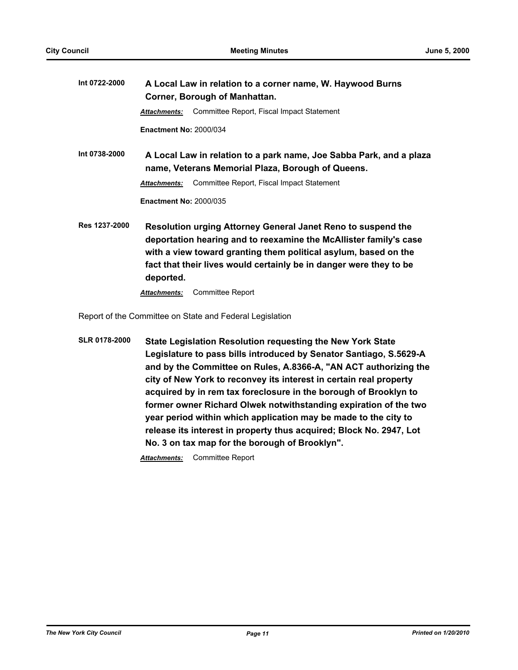| Int 0722-2000 | A Local Law in relation to a corner name, W. Haywood Burns<br>Corner, Borough of Manhattan.                                                                                                                                                                                             |  |  |  |
|---------------|-----------------------------------------------------------------------------------------------------------------------------------------------------------------------------------------------------------------------------------------------------------------------------------------|--|--|--|
|               | Committee Report, Fiscal Impact Statement<br><b>Attachments:</b>                                                                                                                                                                                                                        |  |  |  |
|               | <b>Enactment No: 2000/034</b>                                                                                                                                                                                                                                                           |  |  |  |
| Int 0738-2000 | A Local Law in relation to a park name, Joe Sabba Park, and a plaza<br>name, Veterans Memorial Plaza, Borough of Queens.                                                                                                                                                                |  |  |  |
|               | Committee Report, Fiscal Impact Statement<br><b>Attachments:</b>                                                                                                                                                                                                                        |  |  |  |
|               | <b>Enactment No: 2000/035</b>                                                                                                                                                                                                                                                           |  |  |  |
| Res 1237-2000 | Resolution urging Attorney General Janet Reno to suspend the<br>deportation hearing and to reexamine the McAllister family's case<br>with a view toward granting them political asylum, based on the<br>fact that their lives would certainly be in danger were they to be<br>deported. |  |  |  |

Report of the Committee on State and Federal Legislation

**SLR 0178-2000 State Legislation Resolution requesting the New York State Legislature to pass bills introduced by Senator Santiago, S.5629-A and by the Committee on Rules, A.8366-A, "AN ACT authorizing the city of New York to reconvey its interest in certain real property acquired by in rem tax foreclosure in the borough of Brooklyn to former owner Richard Olwek notwithstanding expiration of the two year period within which application may be made to the city to release its interest in property thus acquired; Block No. 2947, Lot No. 3 on tax map for the borough of Brooklyn".**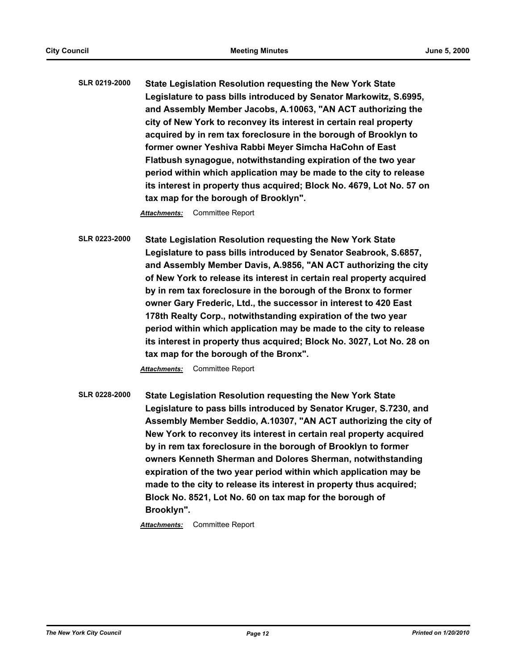**SLR 0219-2000 State Legislation Resolution requesting the New York State Legislature to pass bills introduced by Senator Markowitz, S.6995, and Assembly Member Jacobs, A.10063, "AN ACT authorizing the city of New York to reconvey its interest in certain real property acquired by in rem tax foreclosure in the borough of Brooklyn to former owner Yeshiva Rabbi Meyer Simcha HaCohn of East Flatbush synagogue, notwithstanding expiration of the two year period within which application may be made to the city to release its interest in property thus acquired; Block No. 4679, Lot No. 57 on tax map for the borough of Brooklyn".**

*Attachments:* Committee Report

**SLR 0223-2000 State Legislation Resolution requesting the New York State Legislature to pass bills introduced by Senator Seabrook, S.6857, and Assembly Member Davis, A.9856, "AN ACT authorizing the city of New York to release its interest in certain real property acquired by in rem tax foreclosure in the borough of the Bronx to former owner Gary Frederic, Ltd., the successor in interest to 420 East 178th Realty Corp., notwithstanding expiration of the two year period within which application may be made to the city to release its interest in property thus acquired; Block No. 3027, Lot No. 28 on tax map for the borough of the Bronx".**

*Attachments:* Committee Report

**SLR 0228-2000 State Legislation Resolution requesting the New York State Legislature to pass bills introduced by Senator Kruger, S.7230, and Assembly Member Seddio, A.10307, "AN ACT authorizing the city of New York to reconvey its interest in certain real property acquired by in rem tax foreclosure in the borough of Brooklyn to former owners Kenneth Sherman and Dolores Sherman, notwithstanding expiration of the two year period within which application may be made to the city to release its interest in property thus acquired; Block No. 8521, Lot No. 60 on tax map for the borough of Brooklyn".**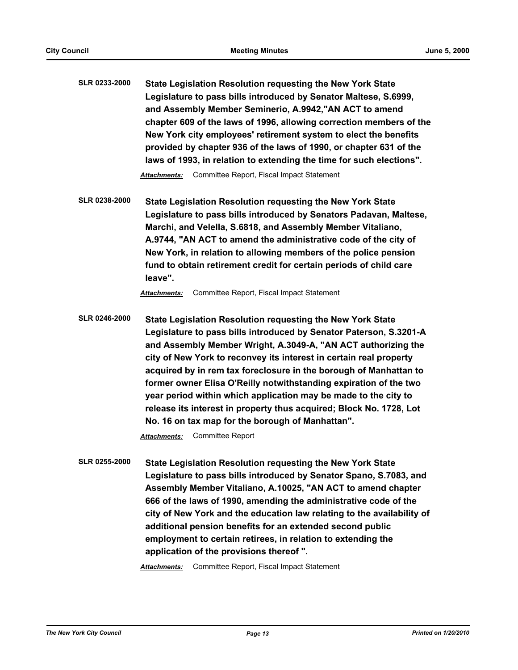| <b>SLR 0233-2000</b> | State Legislation Resolution requesting the New York State           |
|----------------------|----------------------------------------------------------------------|
|                      | Legislature to pass bills introduced by Senator Maltese, S.6999,     |
|                      | and Assembly Member Seminerio, A.9942,"AN ACT to amend               |
|                      | chapter 609 of the laws of 1996, allowing correction members of the  |
|                      | New York city employees' retirement system to elect the benefits     |
|                      | provided by chapter 936 of the laws of 1990, or chapter 631 of the   |
|                      | laws of 1993, in relation to extending the time for such elections". |
|                      |                                                                      |

*Attachments:* Committee Report, Fiscal Impact Statement

**SLR 0238-2000 State Legislation Resolution requesting the New York State Legislature to pass bills introduced by Senators Padavan, Maltese, Marchi, and Velella, S.6818, and Assembly Member Vitaliano, A.9744, "AN ACT to amend the administrative code of the city of New York, in relation to allowing members of the police pension fund to obtain retirement credit for certain periods of child care leave".**

*Attachments:* Committee Report, Fiscal Impact Statement

**SLR 0246-2000 State Legislation Resolution requesting the New York State Legislature to pass bills introduced by Senator Paterson, S.3201-A and Assembly Member Wright, A.3049-A, "AN ACT authorizing the city of New York to reconvey its interest in certain real property acquired by in rem tax foreclosure in the borough of Manhattan to former owner Elisa O'Reilly notwithstanding expiration of the two year period within which application may be made to the city to release its interest in property thus acquired; Block No. 1728, Lot No. 16 on tax map for the borough of Manhattan".**

*Attachments:* Committee Report

**SLR 0255-2000 State Legislation Resolution requesting the New York State Legislature to pass bills introduced by Senator Spano, S.7083, and Assembly Member Vitaliano, A.10025, "AN ACT to amend chapter 666 of the laws of 1990, amending the administrative code of the city of New York and the education law relating to the availability of additional pension benefits for an extended second public employment to certain retirees, in relation to extending the application of the provisions thereof ".**

*Attachments:* Committee Report, Fiscal Impact Statement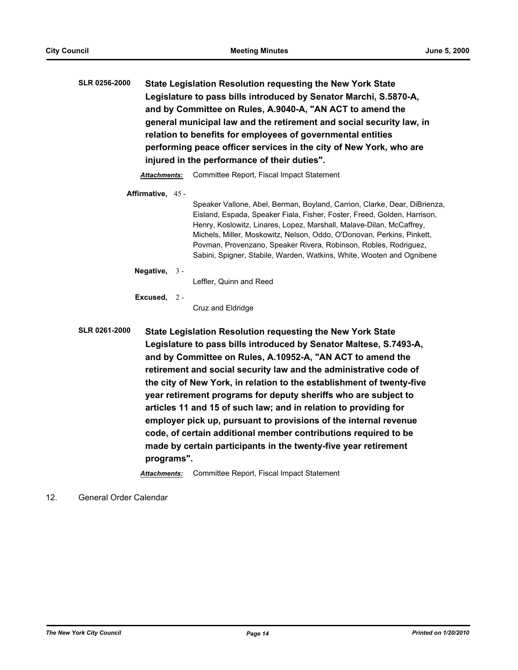| <b>SLR 0256-2000</b> | State Legislation Resolution requesting the New York State           |
|----------------------|----------------------------------------------------------------------|
|                      | Legislature to pass bills introduced by Senator Marchi, S.5870-A,    |
|                      | and by Committee on Rules, A.9040-A, "AN ACT to amend the            |
|                      | general municipal law and the retirement and social security law, in |
|                      | relation to benefits for employees of governmental entities          |
|                      | performing peace officer services in the city of New York, who are   |
|                      | injured in the performance of their duties".                         |

*Attachments:* Committee Report, Fiscal Impact Statement

**Affirmative,** 45 -

Speaker Vallone, Abel, Berman, Boyland, Carrion, Clarke, Dear, DiBrienza, Eisland, Espada, Speaker Fiala, Fisher, Foster, Freed, Golden, Harrison, Henry, Koslowitz, Linares, Lopez, Marshall, Malave-Dilan, McCaffrey, Michels, Miller, Moskowitz, Nelson, Oddo, O'Donovan, Perkins, Pinkett, Povman, Provenzano, Speaker Rivera, Robinson, Robles, Rodriguez, Sabini, Spigner, Stabile, Warden, Watkins, White, Wooten and Ognibene

**Negative,** 3 -

Leffler, Quinn and Reed

**Excused,** 2 -

Cruz and Eldridge

**SLR 0261-2000 State Legislation Resolution requesting the New York State Legislature to pass bills introduced by Senator Maltese, S.7493-A, and by Committee on Rules, A.10952-A, "AN ACT to amend the retirement and social security law and the administrative code of the city of New York, in relation to the establishment of twenty-five year retirement programs for deputy sheriffs who are subject to articles 11 and 15 of such law; and in relation to providing for employer pick up, pursuant to provisions of the internal revenue code, of certain additional member contributions required to be made by certain participants in the twenty-five year retirement programs".**

*Attachments:* Committee Report, Fiscal Impact Statement

12. General Order Calendar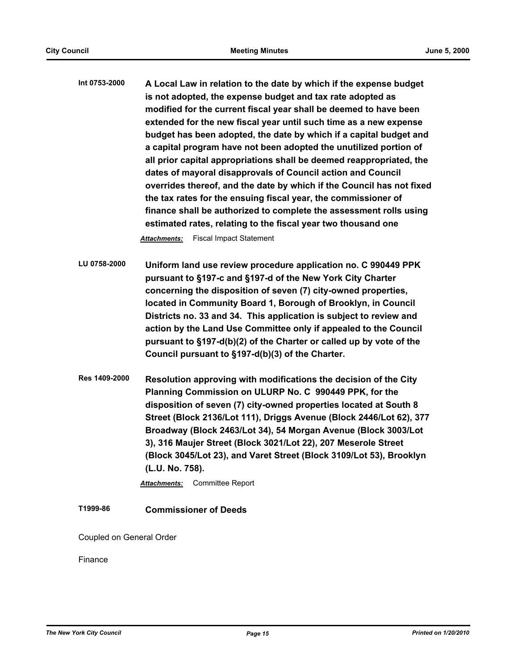**Int 0753-2000 A Local Law in relation to the date by which if the expense budget is not adopted, the expense budget and tax rate adopted as modified for the current fiscal year shall be deemed to have been extended for the new fiscal year until such time as a new expense budget has been adopted, the date by which if a capital budget and a capital program have not been adopted the unutilized portion of all prior capital appropriations shall be deemed reappropriated, the dates of mayoral disapprovals of Council action and Council overrides thereof, and the date by which if the Council has not fixed the tax rates for the ensuing fiscal year, the commissioner of finance shall be authorized to complete the assessment rolls using estimated rates, relating to the fiscal year two thousand one**

*Attachments:* Fiscal Impact Statement

**LU 0758-2000 Uniform land use review procedure application no. C 990449 PPK pursuant to §197-c and §197-d of the New York City Charter concerning the disposition of seven (7) city-owned properties, located in Community Board 1, Borough of Brooklyn, in Council Districts no. 33 and 34. This application is subject to review and action by the Land Use Committee only if appealed to the Council pursuant to §197-d(b)(2) of the Charter or called up by vote of the Council pursuant to §197-d(b)(3) of the Charter.**

**Res 1409-2000 Resolution approving with modifications the decision of the City Planning Commission on ULURP No. C 990449 PPK, for the disposition of seven (7) city-owned properties located at South 8 Street (Block 2136/Lot 111), Driggs Avenue (Block 2446/Lot 62), 377 Broadway (Block 2463/Lot 34), 54 Morgan Avenue (Block 3003/Lot 3), 316 Maujer Street (Block 3021/Lot 22), 207 Meserole Street (Block 3045/Lot 23), and Varet Street (Block 3109/Lot 53), Brooklyn (L.U. No. 758).**

*Attachments:* Committee Report

# **T1999-86 Commissioner of Deeds**

Coupled on General Order

Finance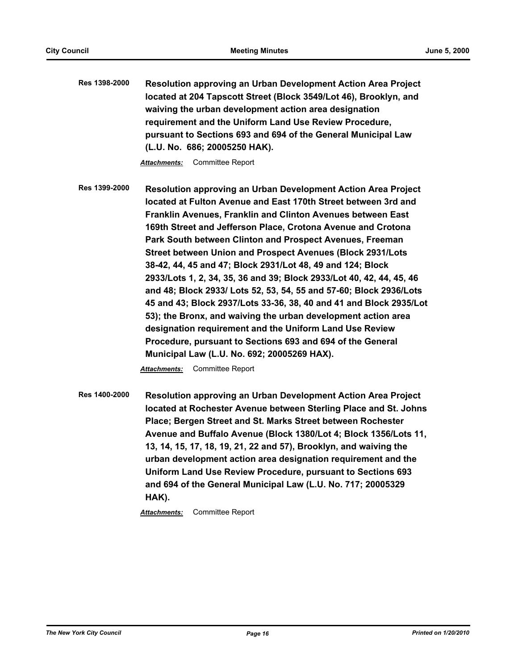**Res 1398-2000 Resolution approving an Urban Development Action Area Project located at 204 Tapscott Street (Block 3549/Lot 46), Brooklyn, and waiving the urban development action area designation requirement and the Uniform Land Use Review Procedure, pursuant to Sections 693 and 694 of the General Municipal Law (L.U. No. 686; 20005250 HAK).**

*Attachments:* Committee Report

**Res 1399-2000 Resolution approving an Urban Development Action Area Project located at Fulton Avenue and East 170th Street between 3rd and Franklin Avenues, Franklin and Clinton Avenues between East 169th Street and Jefferson Place, Crotona Avenue and Crotona Park South between Clinton and Prospect Avenues, Freeman Street between Union and Prospect Avenues (Block 2931/Lots 38-42, 44, 45 and 47; Block 2931/Lot 48, 49 and 124; Block 2933/Lots 1, 2, 34, 35, 36 and 39; Block 2933/Lot 40, 42, 44, 45, 46 and 48; Block 2933/ Lots 52, 53, 54, 55 and 57-60; Block 2936/Lots 45 and 43; Block 2937/Lots 33-36, 38, 40 and 41 and Block 2935/Lot 53); the Bronx, and waiving the urban development action area designation requirement and the Uniform Land Use Review Procedure, pursuant to Sections 693 and 694 of the General Municipal Law (L.U. No. 692; 20005269 HAX).**

*Attachments:* Committee Report

**Res 1400-2000 Resolution approving an Urban Development Action Area Project located at Rochester Avenue between Sterling Place and St. Johns Place; Bergen Street and St. Marks Street between Rochester Avenue and Buffalo Avenue (Block 1380/Lot 4; Block 1356/Lots 11, 13, 14, 15, 17, 18, 19, 21, 22 and 57), Brooklyn, and waiving the urban development action area designation requirement and the Uniform Land Use Review Procedure, pursuant to Sections 693 and 694 of the General Municipal Law (L.U. No. 717; 20005329 HAK).**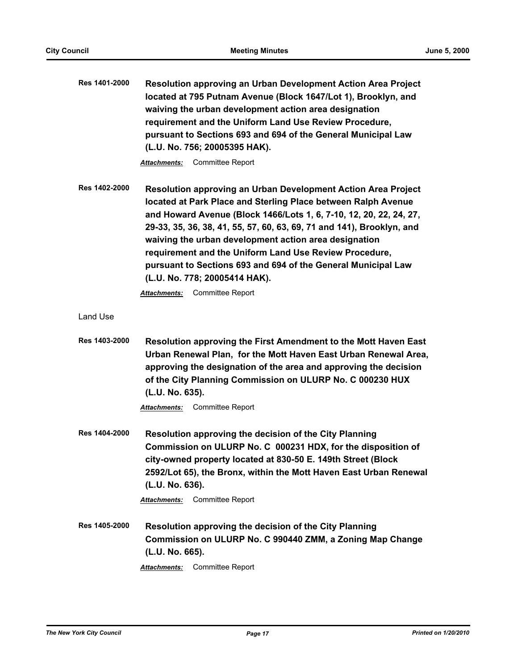| Res 1401-2000 | Resolution approving an Urban Development Action Area Project  |
|---------------|----------------------------------------------------------------|
|               | located at 795 Putnam Avenue (Block 1647/Lot 1), Brooklyn, and |
|               | waiving the urban development action area designation          |
|               | requirement and the Uniform Land Use Review Procedure,         |
|               | pursuant to Sections 693 and 694 of the General Municipal Law  |
|               | (L.U. No. 756; 20005395 HAK).                                  |
|               |                                                                |

**Res 1402-2000 Resolution approving an Urban Development Action Area Project located at Park Place and Sterling Place between Ralph Avenue and Howard Avenue (Block 1466/Lots 1, 6, 7-10, 12, 20, 22, 24, 27, 29-33, 35, 36, 38, 41, 55, 57, 60, 63, 69, 71 and 141), Brooklyn, and waiving the urban development action area designation requirement and the Uniform Land Use Review Procedure, pursuant to Sections 693 and 694 of the General Municipal Law (L.U. No. 778; 20005414 HAK).**

*Attachments:* Committee Report

Land Use

**Res 1403-2000 Resolution approving the First Amendment to the Mott Haven East Urban Renewal Plan, for the Mott Haven East Urban Renewal Area, approving the designation of the area and approving the decision of the City Planning Commission on ULURP No. C 000230 HUX (L.U. No. 635).**

*Attachments:* Committee Report

**Res 1404-2000 Resolution approving the decision of the City Planning Commission on ULURP No. C 000231 HDX, for the disposition of city-owned property located at 830-50 E. 149th Street (Block 2592/Lot 65), the Bronx, within the Mott Haven East Urban Renewal (L.U. No. 636).**

*Attachments:* Committee Report

**Res 1405-2000 Resolution approving the decision of the City Planning Commission on ULURP No. C 990440 ZMM, a Zoning Map Change (L.U. No. 665).**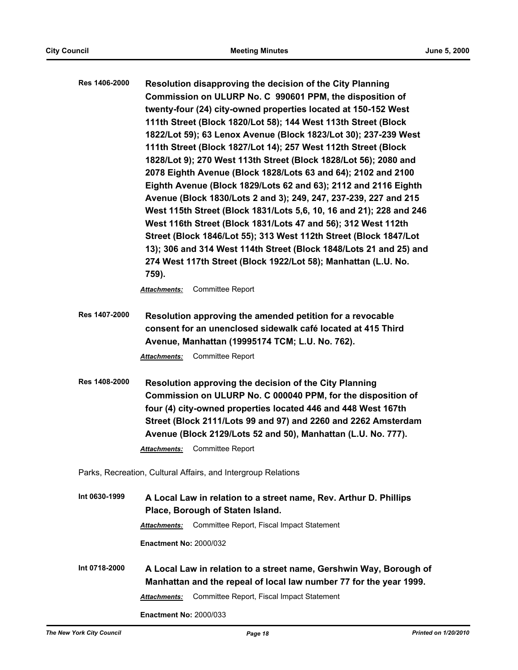| Res 1406-2000 | Resolution disapproving the decision of the City Planning<br>Commission on ULURP No. C 990601 PPM, the disposition of                                                                               |                                                                |  |  |                                                                                                                                         |
|---------------|-----------------------------------------------------------------------------------------------------------------------------------------------------------------------------------------------------|----------------------------------------------------------------|--|--|-----------------------------------------------------------------------------------------------------------------------------------------|
|               |                                                                                                                                                                                                     |                                                                |  |  |                                                                                                                                         |
|               | twenty-four (24) city-owned properties located at 150-152 West                                                                                                                                      |                                                                |  |  |                                                                                                                                         |
|               | 111th Street (Block 1820/Lot 58); 144 West 113th Street (Block                                                                                                                                      |                                                                |  |  |                                                                                                                                         |
|               | 1822/Lot 59); 63 Lenox Avenue (Block 1823/Lot 30); 237-239 West                                                                                                                                     |                                                                |  |  |                                                                                                                                         |
|               | 111th Street (Block 1827/Lot 14); 257 West 112th Street (Block<br>1828/Lot 9); 270 West 113th Street (Block 1828/Lot 56); 2080 and<br>2078 Eighth Avenue (Block 1828/Lots 63 and 64); 2102 and 2100 |                                                                |  |  |                                                                                                                                         |
|               |                                                                                                                                                                                                     |                                                                |  |  |                                                                                                                                         |
|               |                                                                                                                                                                                                     |                                                                |  |  |                                                                                                                                         |
|               | Eighth Avenue (Block 1829/Lots 62 and 63); 2112 and 2116 Eighth<br>Avenue (Block 1830/Lots 2 and 3); 249, 247, 237-239, 227 and 215                                                                 |                                                                |  |  |                                                                                                                                         |
|               |                                                                                                                                                                                                     |                                                                |  |  |                                                                                                                                         |
|               | West 115th Street (Block 1831/Lots 5,6, 10, 16 and 21); 228 and 246<br>West 116th Street (Block 1831/Lots 47 and 56); 312 West 112th                                                                |                                                                |  |  |                                                                                                                                         |
|               |                                                                                                                                                                                                     |                                                                |  |  | Street (Block 1846/Lot 55); 313 West 112th Street (Block 1847/Lot<br>13); 306 and 314 West 114th Street (Block 1848/Lots 21 and 25) and |
|               |                                                                                                                                                                                                     | 274 West 117th Street (Block 1922/Lot 58); Manhattan (L.U. No. |  |  |                                                                                                                                         |
|               |                                                                                                                                                                                                     | 759).                                                          |  |  |                                                                                                                                         |
|               | Committee Report<br>Attachments:                                                                                                                                                                    |                                                                |  |  |                                                                                                                                         |
| Res 1407-2000 | Resolution approving the amended petition for a revocable                                                                                                                                           |                                                                |  |  |                                                                                                                                         |
|               | consent for an unenclosed sidewalk café located at 415 Third                                                                                                                                        |                                                                |  |  |                                                                                                                                         |

**Avenue, Manhattan (19995174 TCM; L.U. No. 762).**

*Attachments:* Committee Report

**Res 1408-2000 Resolution approving the decision of the City Planning Commission on ULURP No. C 000040 PPM, for the disposition of four (4) city-owned properties located 446 and 448 West 167th Street (Block 2111/Lots 99 and 97) and 2260 and 2262 Amsterdam Avenue (Block 2129/Lots 52 and 50), Manhattan (L.U. No. 777).** *Attachments:* Committee Report

Parks, Recreation, Cultural Affairs, and Intergroup Relations

**Int 0630-1999 A Local Law in relation to a street name, Rev. Arthur D. Phillips Place, Borough of Staten Island.** *Attachments:* Committee Report, Fiscal Impact Statement **Enactment No:** 2000/032 **Int 0718-2000 A Local Law in relation to a street name, Gershwin Way, Borough of Manhattan and the repeal of local law number 77 for the year 1999.** *Attachments:* Committee Report, Fiscal Impact Statement

**Enactment No:** 2000/033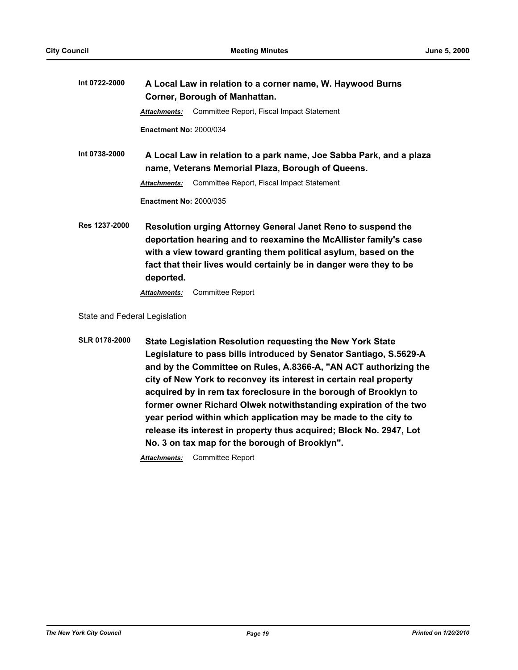| Int 0722-2000 | A Local Law in relation to a corner name, W. Haywood Burns<br>Corner, Borough of Manhattan. |                                                                                                                                   |
|---------------|---------------------------------------------------------------------------------------------|-----------------------------------------------------------------------------------------------------------------------------------|
|               | <b>Attachments:</b>                                                                         | Committee Report, Fiscal Impact Statement                                                                                         |
|               | <b>Enactment No: 2000/034</b>                                                               |                                                                                                                                   |
| Int 0738-2000 |                                                                                             | A Local Law in relation to a park name, Joe Sabba Park, and a plaza<br>name, Veterans Memorial Plaza, Borough of Queens.          |
|               | <b>Attachments:</b>                                                                         | Committee Report, Fiscal Impact Statement                                                                                         |
|               | <b>Enactment No: 2000/035</b>                                                               |                                                                                                                                   |
| Res 1237-2000 |                                                                                             | Resolution urging Attorney General Janet Reno to suspend the<br>denortation hearing and to reexamine the McAllister family's case |

**deportation hearing and to reexamine the McAllister family's case with a view toward granting them political asylum, based on the fact that their lives would certainly be in danger were they to be deported.**

*Attachments:* Committee Report

State and Federal Legislation

**SLR 0178-2000 State Legislation Resolution requesting the New York State Legislature to pass bills introduced by Senator Santiago, S.5629-A and by the Committee on Rules, A.8366-A, "AN ACT authorizing the city of New York to reconvey its interest in certain real property acquired by in rem tax foreclosure in the borough of Brooklyn to former owner Richard Olwek notwithstanding expiration of the two year period within which application may be made to the city to release its interest in property thus acquired; Block No. 2947, Lot No. 3 on tax map for the borough of Brooklyn".**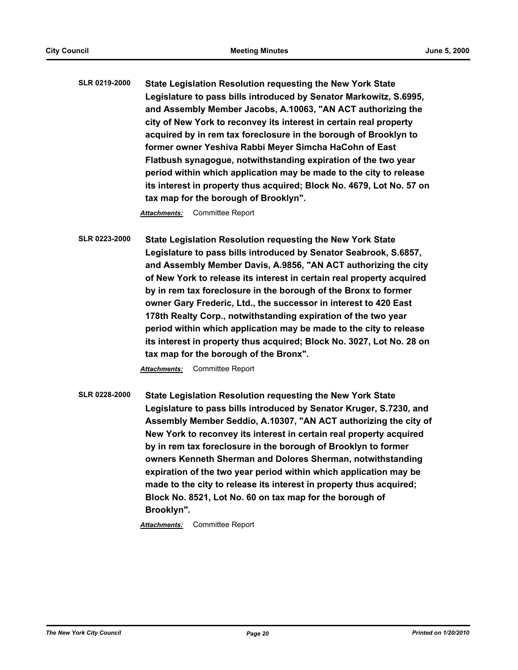**SLR 0219-2000 State Legislation Resolution requesting the New York State Legislature to pass bills introduced by Senator Markowitz, S.6995, and Assembly Member Jacobs, A.10063, "AN ACT authorizing the city of New York to reconvey its interest in certain real property acquired by in rem tax foreclosure in the borough of Brooklyn to former owner Yeshiva Rabbi Meyer Simcha HaCohn of East Flatbush synagogue, notwithstanding expiration of the two year period within which application may be made to the city to release its interest in property thus acquired; Block No. 4679, Lot No. 57 on tax map for the borough of Brooklyn".**

*Attachments:* Committee Report

**SLR 0223-2000 State Legislation Resolution requesting the New York State Legislature to pass bills introduced by Senator Seabrook, S.6857, and Assembly Member Davis, A.9856, "AN ACT authorizing the city of New York to release its interest in certain real property acquired by in rem tax foreclosure in the borough of the Bronx to former owner Gary Frederic, Ltd., the successor in interest to 420 East 178th Realty Corp., notwithstanding expiration of the two year period within which application may be made to the city to release its interest in property thus acquired; Block No. 3027, Lot No. 28 on tax map for the borough of the Bronx".**

*Attachments:* Committee Report

**SLR 0228-2000 State Legislation Resolution requesting the New York State Legislature to pass bills introduced by Senator Kruger, S.7230, and Assembly Member Seddio, A.10307, "AN ACT authorizing the city of New York to reconvey its interest in certain real property acquired by in rem tax foreclosure in the borough of Brooklyn to former owners Kenneth Sherman and Dolores Sherman, notwithstanding expiration of the two year period within which application may be made to the city to release its interest in property thus acquired; Block No. 8521, Lot No. 60 on tax map for the borough of Brooklyn".**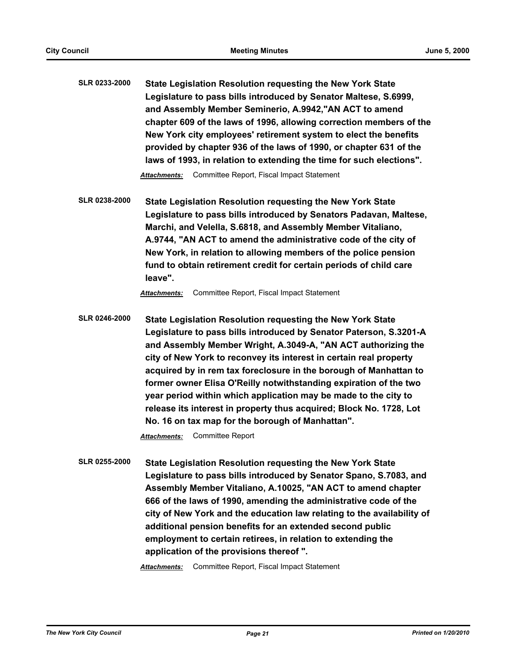| <b>SLR 0233-2000</b> | State Legislation Resolution requesting the New York State           |
|----------------------|----------------------------------------------------------------------|
|                      | Legislature to pass bills introduced by Senator Maltese, S.6999,     |
|                      | and Assembly Member Seminerio, A.9942,"AN ACT to amend               |
|                      | chapter 609 of the laws of 1996, allowing correction members of the  |
|                      | New York city employees' retirement system to elect the benefits     |
|                      | provided by chapter 936 of the laws of 1990, or chapter 631 of the   |
|                      | laws of 1993, in relation to extending the time for such elections". |
|                      |                                                                      |

*Attachments:* Committee Report, Fiscal Impact Statement

**SLR 0238-2000 State Legislation Resolution requesting the New York State Legislature to pass bills introduced by Senators Padavan, Maltese, Marchi, and Velella, S.6818, and Assembly Member Vitaliano, A.9744, "AN ACT to amend the administrative code of the city of New York, in relation to allowing members of the police pension fund to obtain retirement credit for certain periods of child care leave".**

*Attachments:* Committee Report, Fiscal Impact Statement

**SLR 0246-2000 State Legislation Resolution requesting the New York State Legislature to pass bills introduced by Senator Paterson, S.3201-A and Assembly Member Wright, A.3049-A, "AN ACT authorizing the city of New York to reconvey its interest in certain real property acquired by in rem tax foreclosure in the borough of Manhattan to former owner Elisa O'Reilly notwithstanding expiration of the two year period within which application may be made to the city to release its interest in property thus acquired; Block No. 1728, Lot No. 16 on tax map for the borough of Manhattan".**

*Attachments:* Committee Report

**SLR 0255-2000 State Legislation Resolution requesting the New York State Legislature to pass bills introduced by Senator Spano, S.7083, and Assembly Member Vitaliano, A.10025, "AN ACT to amend chapter 666 of the laws of 1990, amending the administrative code of the city of New York and the education law relating to the availability of additional pension benefits for an extended second public employment to certain retirees, in relation to extending the application of the provisions thereof ".**

*Attachments:* Committee Report, Fiscal Impact Statement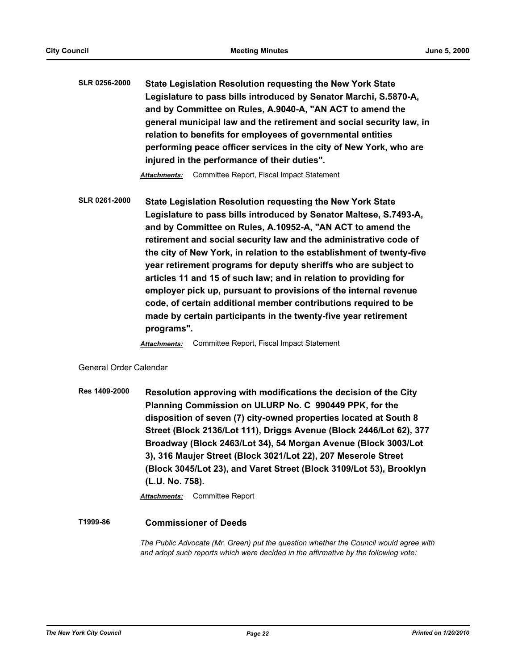**SLR 0256-2000 State Legislation Resolution requesting the New York State Legislature to pass bills introduced by Senator Marchi, S.5870-A, and by Committee on Rules, A.9040-A, "AN ACT to amend the general municipal law and the retirement and social security law, in relation to benefits for employees of governmental entities performing peace officer services in the city of New York, who are injured in the performance of their duties".**

*Attachments:* Committee Report, Fiscal Impact Statement

**SLR 0261-2000 State Legislation Resolution requesting the New York State Legislature to pass bills introduced by Senator Maltese, S.7493-A, and by Committee on Rules, A.10952-A, "AN ACT to amend the retirement and social security law and the administrative code of the city of New York, in relation to the establishment of twenty-five year retirement programs for deputy sheriffs who are subject to articles 11 and 15 of such law; and in relation to providing for employer pick up, pursuant to provisions of the internal revenue code, of certain additional member contributions required to be made by certain participants in the twenty-five year retirement programs".**

*Attachments:* Committee Report, Fiscal Impact Statement

# General Order Calendar

**Res 1409-2000 Resolution approving with modifications the decision of the City Planning Commission on ULURP No. C 990449 PPK, for the disposition of seven (7) city-owned properties located at South 8 Street (Block 2136/Lot 111), Driggs Avenue (Block 2446/Lot 62), 377 Broadway (Block 2463/Lot 34), 54 Morgan Avenue (Block 3003/Lot 3), 316 Maujer Street (Block 3021/Lot 22), 207 Meserole Street (Block 3045/Lot 23), and Varet Street (Block 3109/Lot 53), Brooklyn (L.U. No. 758).**

*Attachments:* Committee Report

# **T1999-86 Commissioner of Deeds**

*The Public Advocate (Mr. Green) put the question whether the Council would agree with and adopt such reports which were decided in the affirmative by the following vote:*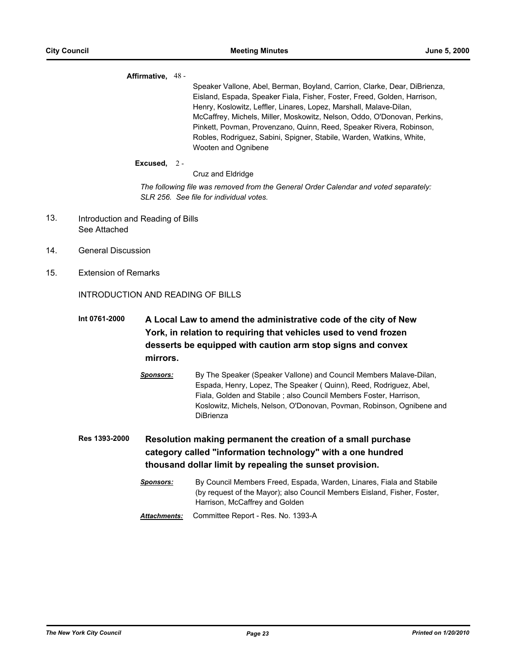#### **Affirmative,** 48 -

Speaker Vallone, Abel, Berman, Boyland, Carrion, Clarke, Dear, DiBrienza, Eisland, Espada, Speaker Fiala, Fisher, Foster, Freed, Golden, Harrison, Henry, Koslowitz, Leffler, Linares, Lopez, Marshall, Malave-Dilan, McCaffrey, Michels, Miller, Moskowitz, Nelson, Oddo, O'Donovan, Perkins, Pinkett, Povman, Provenzano, Quinn, Reed, Speaker Rivera, Robinson, Robles, Rodriguez, Sabini, Spigner, Stabile, Warden, Watkins, White, Wooten and Ognibene

## **Excused,** 2 -

Cruz and Eldridge

*The following file was removed from the General Order Calendar and voted separately: SLR 256. See file for individual votes.*

- Introduction and Reading of Bills See Attached 13.
- 14. General Discussion
- 15. Extension of Remarks

INTRODUCTION AND READING OF BILLS

- **Int 0761-2000 A Local Law to amend the administrative code of the city of New York, in relation to requiring that vehicles used to vend frozen desserts be equipped with caution arm stop signs and convex mirrors.**
	- *Sponsors:* By The Speaker (Speaker Vallone) and Council Members Malave-Dilan, Espada, Henry, Lopez, The Speaker ( Quinn), Reed, Rodriguez, Abel, Fiala, Golden and Stabile ; also Council Members Foster, Harrison, Koslowitz, Michels, Nelson, O'Donovan, Povman, Robinson, Ognibene and **DiBrienza**

**Res 1393-2000 Resolution making permanent the creation of a small purchase category called "information technology" with a one hundred thousand dollar limit by repealing the sunset provision.**

- *Sponsors:* By Council Members Freed, Espada, Warden, Linares, Fiala and Stabile (by request of the Mayor); also Council Members Eisland, Fisher, Foster, Harrison, McCaffrey and Golden
- *Attachments:* Committee Report Res. No. 1393-A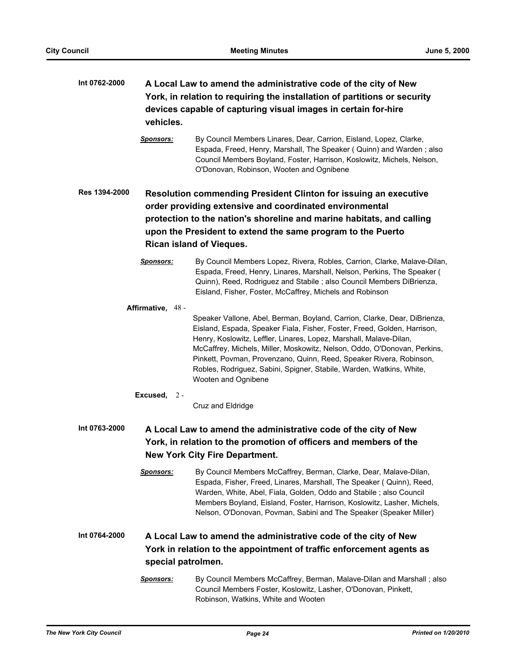| Int 0762-2000                                                                                                                               | A Local Law to amend the administrative code of the city of New |                                                                                                                                                                                                                                                                                                                                                                                                                                                                               |  |
|---------------------------------------------------------------------------------------------------------------------------------------------|-----------------------------------------------------------------|-------------------------------------------------------------------------------------------------------------------------------------------------------------------------------------------------------------------------------------------------------------------------------------------------------------------------------------------------------------------------------------------------------------------------------------------------------------------------------|--|
| York, in relation to requiring the installation of partitions or security<br>devices capable of capturing visual images in certain for-hire |                                                                 |                                                                                                                                                                                                                                                                                                                                                                                                                                                                               |  |
|                                                                                                                                             |                                                                 |                                                                                                                                                                                                                                                                                                                                                                                                                                                                               |  |
|                                                                                                                                             | <u>Sponsors:</u>                                                | By Council Members Linares, Dear, Carrion, Eisland, Lopez, Clarke,<br>Espada, Freed, Henry, Marshall, The Speaker (Quinn) and Warden; also<br>Council Members Boyland, Foster, Harrison, Koslowitz, Michels, Nelson,<br>O'Donovan, Robinson, Wooten and Ognibene                                                                                                                                                                                                              |  |
| <b>Res 1394-2000</b>                                                                                                                        |                                                                 | Resolution commending President Clinton for issuing an executive                                                                                                                                                                                                                                                                                                                                                                                                              |  |
|                                                                                                                                             |                                                                 | order providing extensive and coordinated environmental                                                                                                                                                                                                                                                                                                                                                                                                                       |  |
|                                                                                                                                             |                                                                 | protection to the nation's shoreline and marine habitats, and calling                                                                                                                                                                                                                                                                                                                                                                                                         |  |
|                                                                                                                                             |                                                                 | upon the President to extend the same program to the Puerto                                                                                                                                                                                                                                                                                                                                                                                                                   |  |
|                                                                                                                                             |                                                                 | <b>Rican island of Vieques.</b>                                                                                                                                                                                                                                                                                                                                                                                                                                               |  |
|                                                                                                                                             | <b>Sponsors:</b>                                                | By Council Members Lopez, Rivera, Robles, Carrion, Clarke, Malave-Dilan,<br>Espada, Freed, Henry, Linares, Marshall, Nelson, Perkins, The Speaker (<br>Quinn), Reed, Rodriguez and Stabile ; also Council Members DiBrienza,<br>Eisland, Fisher, Foster, McCaffrey, Michels and Robinson                                                                                                                                                                                      |  |
|                                                                                                                                             | Affirmative, 48 -                                               |                                                                                                                                                                                                                                                                                                                                                                                                                                                                               |  |
|                                                                                                                                             |                                                                 | Speaker Vallone, Abel, Berman, Boyland, Carrion, Clarke, Dear, DiBrienza,<br>Eisland, Espada, Speaker Fiala, Fisher, Foster, Freed, Golden, Harrison,<br>Henry, Koslowitz, Leffler, Linares, Lopez, Marshall, Malave-Dilan,<br>McCaffrey, Michels, Miller, Moskowitz, Nelson, Oddo, O'Donovan, Perkins,<br>Pinkett, Povman, Provenzano, Quinn, Reed, Speaker Rivera, Robinson,<br>Robles, Rodriguez, Sabini, Spigner, Stabile, Warden, Watkins, White,<br>Wooten and Ognibene |  |
|                                                                                                                                             | Excused, $2 -$                                                  | Cruz and Eldridge                                                                                                                                                                                                                                                                                                                                                                                                                                                             |  |
| Int 0763-2000                                                                                                                               |                                                                 | A Local Law to amend the administrative code of the city of New                                                                                                                                                                                                                                                                                                                                                                                                               |  |
|                                                                                                                                             |                                                                 | York, in relation to the promotion of officers and members of the                                                                                                                                                                                                                                                                                                                                                                                                             |  |
|                                                                                                                                             |                                                                 | <b>New York City Fire Department.</b>                                                                                                                                                                                                                                                                                                                                                                                                                                         |  |
|                                                                                                                                             | <u>Sponsors:</u>                                                | By Council Members McCaffrey, Berman, Clarke, Dear, Malave-Dilan,<br>Espada, Fisher, Freed, Linares, Marshall, The Speaker (Quinn), Reed,<br>Warden, White, Abel, Fiala, Golden, Oddo and Stabile; also Council<br>Members Boyland, Eisland, Foster, Harrison, Koslowitz, Lasher, Michels,<br>Nelson, O'Donovan, Povman, Sabini and The Speaker (Speaker Miller)                                                                                                              |  |
| Int 0764-2000                                                                                                                               |                                                                 | A Local Law to amend the administrative code of the city of New                                                                                                                                                                                                                                                                                                                                                                                                               |  |
|                                                                                                                                             |                                                                 | York in relation to the appointment of traffic enforcement agents as                                                                                                                                                                                                                                                                                                                                                                                                          |  |
|                                                                                                                                             | special patrolmen.                                              |                                                                                                                                                                                                                                                                                                                                                                                                                                                                               |  |
|                                                                                                                                             | <u>Sponsors:</u>                                                | By Council Members McCaffrey, Berman, Malave-Dilan and Marshall; also<br>Council Members Foster, Koslowitz, Lasher, O'Donovan, Pinkett,<br>Robinson, Watkins, White and Wooten                                                                                                                                                                                                                                                                                                |  |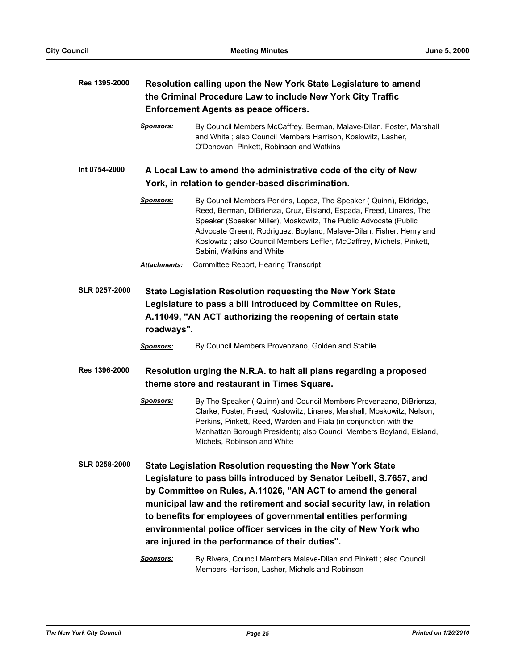|                                                                                                                      | Resolution calling upon the New York State Legislature to amend<br>the Criminal Procedure Law to include New York City Traffic<br><b>Enforcement Agents as peace officers.</b>                                                                                                                                                                                                                                                                                                                                                                     |
|----------------------------------------------------------------------------------------------------------------------|----------------------------------------------------------------------------------------------------------------------------------------------------------------------------------------------------------------------------------------------------------------------------------------------------------------------------------------------------------------------------------------------------------------------------------------------------------------------------------------------------------------------------------------------------|
| <u>Sponsors:</u>                                                                                                     | By Council Members McCaffrey, Berman, Malave-Dilan, Foster, Marshall<br>and White; also Council Members Harrison, Koslowitz, Lasher,<br>O'Donovan, Pinkett, Robinson and Watkins                                                                                                                                                                                                                                                                                                                                                                   |
| A Local Law to amend the administrative code of the city of New<br>York, in relation to gender-based discrimination. |                                                                                                                                                                                                                                                                                                                                                                                                                                                                                                                                                    |
| <u>Sponsors:</u>                                                                                                     | By Council Members Perkins, Lopez, The Speaker (Quinn), Eldridge,<br>Reed, Berman, DiBrienza, Cruz, Eisland, Espada, Freed, Linares, The<br>Speaker (Speaker Miller), Moskowitz, The Public Advocate (Public<br>Advocate Green), Rodriguez, Boyland, Malave-Dilan, Fisher, Henry and<br>Koslowitz; also Council Members Leffler, McCaffrey, Michels, Pinkett,<br>Sabini, Watkins and White                                                                                                                                                         |
| <b>Attachments:</b>                                                                                                  | Committee Report, Hearing Transcript                                                                                                                                                                                                                                                                                                                                                                                                                                                                                                               |
| roadways".<br><b>Sponsors:</b>                                                                                       | <b>State Legislation Resolution requesting the New York State</b><br>Legislature to pass a bill introduced by Committee on Rules,<br>A.11049, "AN ACT authorizing the reopening of certain state<br>By Council Members Provenzano, Golden and Stabile                                                                                                                                                                                                                                                                                              |
|                                                                                                                      | Resolution urging the N.R.A. to halt all plans regarding a proposed<br>theme store and restaurant in Times Square.                                                                                                                                                                                                                                                                                                                                                                                                                                 |
| <u>Sponsors:</u>                                                                                                     | By The Speaker (Quinn) and Council Members Provenzano, DiBrienza,<br>Clarke, Foster, Freed, Koslowitz, Linares, Marshall, Moskowitz, Nelson,<br>Perkins, Pinkett, Reed, Warden and Fiala (in conjunction with the<br>Manhattan Borough President); also Council Members Boyland, Eisland,<br>Michels, Robinson and White                                                                                                                                                                                                                           |
|                                                                                                                      | <b>State Legislation Resolution requesting the New York State</b><br>Legislature to pass bills introduced by Senator Leibell, S.7657, and<br>by Committee on Rules, A.11026, "AN ACT to amend the general<br>municipal law and the retirement and social security law, in relation<br>to benefits for employees of governmental entities performing<br>environmental police officer services in the city of New York who<br>are injured in the performance of their duties".<br>By Rivera, Council Members Malaye-Dilan and Pinkett : also Council |
|                                                                                                                      | <b>Sponsors:</b>                                                                                                                                                                                                                                                                                                                                                                                                                                                                                                                                   |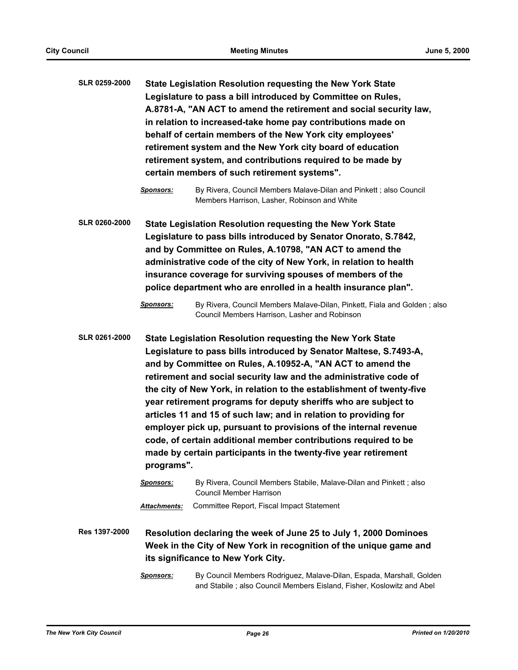**SLR 0259-2000 State Legislation Resolution requesting the New York State Legislature to pass a bill introduced by Committee on Rules, A.8781-A, "AN ACT to amend the retirement and social security law, in relation to increased-take home pay contributions made on behalf of certain members of the New York city employees' retirement system and the New York city board of education retirement system, and contributions required to be made by certain members of such retirement systems".**

*Sponsors:* By Rivera, Council Members Malave-Dilan and Pinkett ; also Council Members Harrison, Lasher, Robinson and White

**SLR 0260-2000 State Legislation Resolution requesting the New York State Legislature to pass bills introduced by Senator Onorato, S.7842, and by Committee on Rules, A.10798, "AN ACT to amend the administrative code of the city of New York, in relation to health insurance coverage for surviving spouses of members of the police department who are enrolled in a health insurance plan".**

*Sponsors:* By Rivera, Council Members Malave-Dilan, Pinkett, Fiala and Golden ; also Council Members Harrison, Lasher and Robinson

**SLR 0261-2000 State Legislation Resolution requesting the New York State Legislature to pass bills introduced by Senator Maltese, S.7493-A, and by Committee on Rules, A.10952-A, "AN ACT to amend the retirement and social security law and the administrative code of the city of New York, in relation to the establishment of twenty-five year retirement programs for deputy sheriffs who are subject to articles 11 and 15 of such law; and in relation to providing for employer pick up, pursuant to provisions of the internal revenue code, of certain additional member contributions required to be made by certain participants in the twenty-five year retirement programs".**

| <u>Sponsors:</u>    | By Rivera, Council Members Stabile, Malave-Dilan and Pinkett; also |
|---------------------|--------------------------------------------------------------------|
|                     | Council Member Harrison                                            |
| <b>Attachments:</b> | Committee Report, Fiscal Impact Statement                          |

**Res 1397-2000 Resolution declaring the week of June 25 to July 1, 2000 Dominoes Week in the City of New York in recognition of the unique game and its significance to New York City.**

> *Sponsors:* By Council Members Rodriguez, Malave-Dilan, Espada, Marshall, Golden and Stabile ; also Council Members Eisland, Fisher, Koslowitz and Abel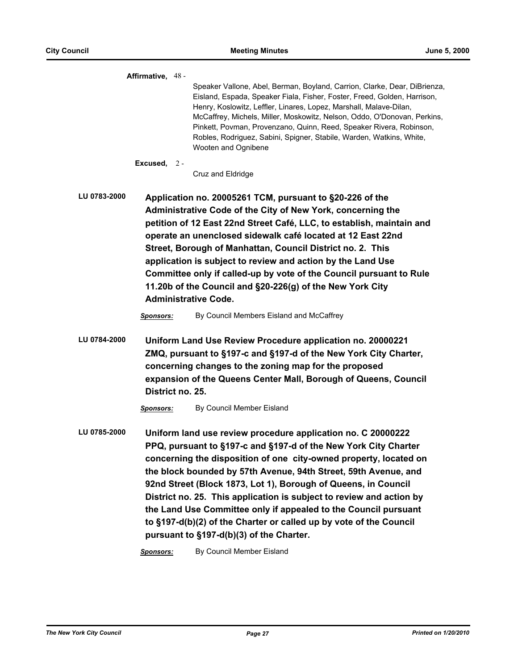**Affirmative,** 48 - Speaker Vallone, Abel, Berman, Boyland, Carrion, Clarke, Dear, DiBrienza, Eisland, Espada, Speaker Fiala, Fisher, Foster, Freed, Golden, Harrison, Henry, Koslowitz, Leffler, Linares, Lopez, Marshall, Malave-Dilan, McCaffrey, Michels, Miller, Moskowitz, Nelson, Oddo, O'Donovan, Perkins, Pinkett, Povman, Provenzano, Quinn, Reed, Speaker Rivera, Robinson, Robles, Rodriguez, Sabini, Spigner, Stabile, Warden, Watkins, White, Wooten and Ognibene

**Excused,** 2 -

Cruz and Eldridge

**LU 0783-2000 Application no. 20005261 TCM, pursuant to §20-226 of the Administrative Code of the City of New York, concerning the petition of 12 East 22nd Street Café, LLC, to establish, maintain and operate an unenclosed sidewalk café located at 12 East 22nd Street, Borough of Manhattan, Council District no. 2. This application is subject to review and action by the Land Use Committee only if called-up by vote of the Council pursuant to Rule 11.20b of the Council and §20-226(g) of the New York City Administrative Code.**

*Sponsors:* By Council Members Eisland and McCaffrey

**LU 0784-2000 Uniform Land Use Review Procedure application no. 20000221 ZMQ, pursuant to §197-c and §197-d of the New York City Charter, concerning changes to the zoning map for the proposed expansion of the Queens Center Mall, Borough of Queens, Council District no. 25.**

*Sponsors:* By Council Member Eisland

**LU 0785-2000 Uniform land use review procedure application no. C 20000222 PPQ, pursuant to §197-c and §197-d of the New York City Charter concerning the disposition of one city-owned property, located on the block bounded by 57th Avenue, 94th Street, 59th Avenue, and 92nd Street (Block 1873, Lot 1), Borough of Queens, in Council District no. 25. This application is subject to review and action by the Land Use Committee only if appealed to the Council pursuant to §197-d(b)(2) of the Charter or called up by vote of the Council pursuant to §197-d(b)(3) of the Charter.**

*Sponsors:* By Council Member Eisland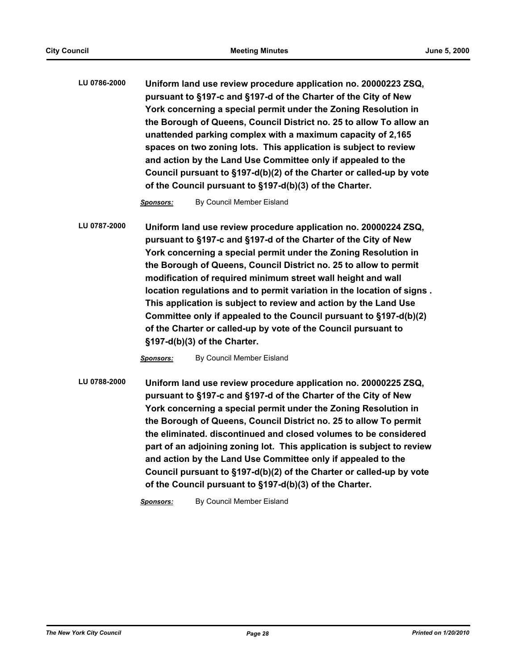**LU 0786-2000 Uniform land use review procedure application no. 20000223 ZSQ, pursuant to §197-c and §197-d of the Charter of the City of New York concerning a special permit under the Zoning Resolution in the Borough of Queens, Council District no. 25 to allow To allow an unattended parking complex with a maximum capacity of 2,165 spaces on two zoning lots. This application is subject to review and action by the Land Use Committee only if appealed to the Council pursuant to §197-d(b)(2) of the Charter or called-up by vote of the Council pursuant to §197-d(b)(3) of the Charter.**

*Sponsors:* By Council Member Eisland

**LU 0787-2000 Uniform land use review procedure application no. 20000224 ZSQ, pursuant to §197-c and §197-d of the Charter of the City of New York concerning a special permit under the Zoning Resolution in the Borough of Queens, Council District no. 25 to allow to permit modification of required minimum street wall height and wall location regulations and to permit variation in the location of signs . This application is subject to review and action by the Land Use Committee only if appealed to the Council pursuant to §197-d(b)(2) of the Charter or called-up by vote of the Council pursuant to §197-d(b)(3) of the Charter.**

**Sponsors:** By Council Member Eisland

**LU 0788-2000 Uniform land use review procedure application no. 20000225 ZSQ, pursuant to §197-c and §197-d of the Charter of the City of New York concerning a special permit under the Zoning Resolution in the Borough of Queens, Council District no. 25 to allow To permit the eliminated. discontinued and closed volumes to be considered part of an adjoining zoning lot. This application is subject to review and action by the Land Use Committee only if appealed to the Council pursuant to §197-d(b)(2) of the Charter or called-up by vote of the Council pursuant to §197-d(b)(3) of the Charter.**

*Sponsors:* By Council Member Eisland